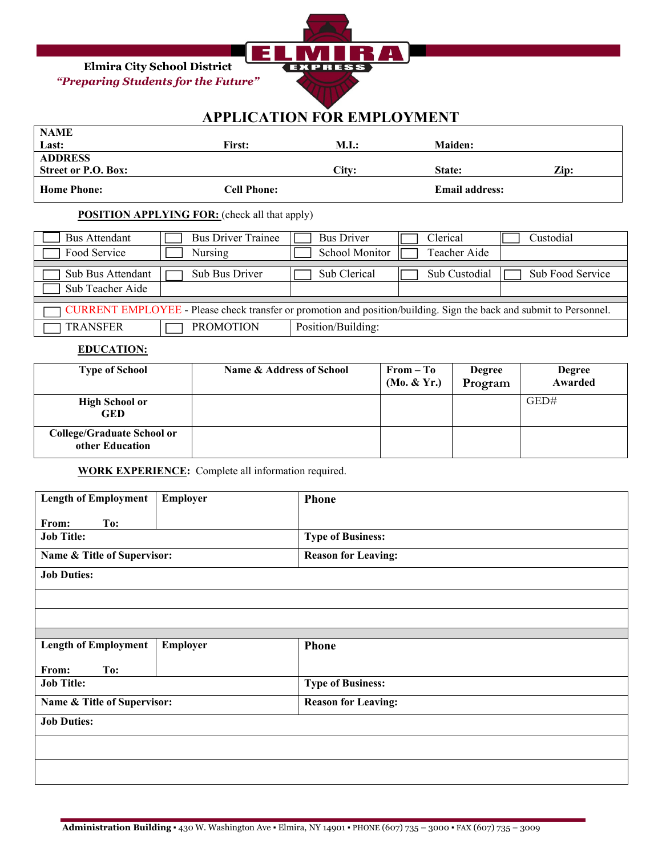**Elmira City School District**  *"Preparing Students for the Future"* 



# **APPLICATION FOR EMPLOYMENT**

| <b>NAME</b>                |               |       |                |      |
|----------------------------|---------------|-------|----------------|------|
| Last:                      | <b>First:</b> | M.I.: | <b>Maiden:</b> |      |
| <b>ADDRESS</b>             |               |       |                |      |
|                            |               |       |                |      |
| <b>Street or P.O. Box:</b> |               | City: | State:         | Zip: |

### **POSITION APPLYING FOR:** (check all that apply)

| Bus Attendant                                                                                                       | <b>Bus Driver Trainee</b> | <b>Bus Driver</b>  | Clerical      | Custodial        |
|---------------------------------------------------------------------------------------------------------------------|---------------------------|--------------------|---------------|------------------|
| Food Service                                                                                                        | Nursing                   | School Monitor     | Teacher Aide  |                  |
|                                                                                                                     |                           |                    |               |                  |
| Sub Bus Attendant                                                                                                   | Sub Bus Driver            | Sub Clerical       | Sub Custodial | Sub Food Service |
| Sub Teacher Aide                                                                                                    |                           |                    |               |                  |
|                                                                                                                     |                           |                    |               |                  |
| CURRENT EMPLOYEE - Please check transfer or promotion and position/building. Sign the back and submit to Personnel. |                           |                    |               |                  |
| <b>TRANSFER</b>                                                                                                     | <b>PROMOTION</b>          | Position/Building: |               |                  |

## **EDUCATION:**

| <b>Type of School</b>                         | Name & Address of School | $From - To$<br>(Mo. & Yr.) | <b>Degree</b><br>Program | <b>Degree</b><br>Awarded |
|-----------------------------------------------|--------------------------|----------------------------|--------------------------|--------------------------|
| <b>High School or</b><br><b>GED</b>           |                          |                            |                          | GED#                     |
| College/Graduate School or<br>other Education |                          |                            |                          |                          |

# **WORK EXPERIENCE:** Complete all information required.

| <b>Length of Employment</b> | Employer | <b>Phone</b>               |
|-----------------------------|----------|----------------------------|
|                             |          |                            |
|                             |          |                            |
| From:<br>To:                |          |                            |
| <b>Job Title:</b>           |          | <b>Type of Business:</b>   |
|                             |          |                            |
| Name & Title of Supervisor: |          | <b>Reason for Leaving:</b> |
|                             |          |                            |
|                             |          |                            |
| <b>Job Duties:</b>          |          |                            |
|                             |          |                            |
|                             |          |                            |
|                             |          |                            |
|                             |          |                            |
|                             |          |                            |
|                             |          |                            |
|                             |          |                            |
|                             |          |                            |
|                             |          |                            |
| <b>Length of Employment</b> | Employer | <b>Phone</b>               |
|                             |          |                            |
| From:<br>To:                |          |                            |
|                             |          |                            |
| <b>Job Title:</b>           |          | <b>Type of Business:</b>   |
|                             |          |                            |
| Name & Title of Supervisor: |          | <b>Reason for Leaving:</b> |
|                             |          |                            |
| <b>Job Duties:</b>          |          |                            |
|                             |          |                            |
|                             |          |                            |
|                             |          |                            |
|                             |          |                            |
|                             |          |                            |
|                             |          |                            |